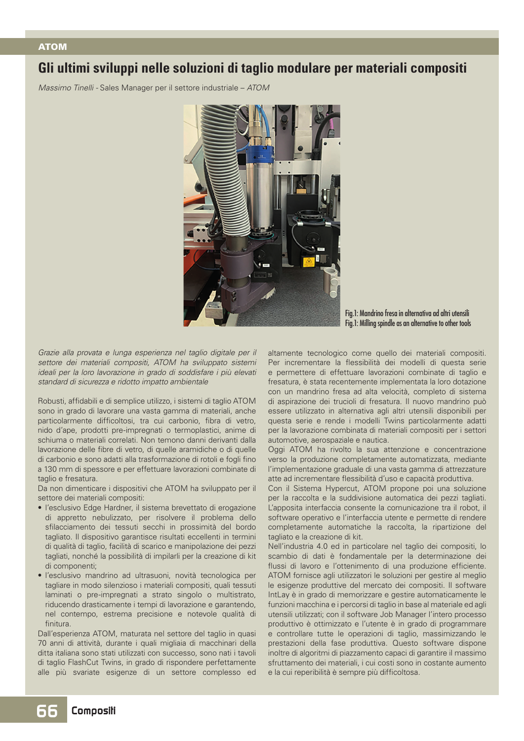## ATOM

## **Gli ultimi sviluppi nelle soluzioni di taglio modulare per materiali compositi**

*Massimo Tinelli -* Sales Manager per il settore industriale – *ATOM*



Fig.1: Mandrino fresa in alternativa ad altri utensili Fig.1: Milling spindle as an alternative to other tools

*Grazie alla provata e lunga esperienza nel taglio digitale per il settore dei materiali compositi, ATOM ha sviluppato sistemi ideali per la loro lavorazione in grado di soddisfare i più elevati standard di sicurezza e ridotto impatto ambientale*

Robusti, affidabili e di semplice utilizzo, i sistemi di taglio ATOM sono in grado di lavorare una vasta gamma di materiali, anche particolarmente difficoltosi, tra cui carbonio, fibra di vetro, nido d'ape, prodotti pre-impregnati o termoplastici, anime di schiuma o materiali correlati. Non temono danni derivanti dalla lavorazione delle fibre di vetro, di quelle aramidiche o di quelle di carbonio e sono adatti alla trasformazione di rotoli e fogli fino a 130 mm di spessore e per effettuare lavorazioni combinate di taglio e fresatura.

Da non dimenticare i dispositivi che ATOM ha sviluppato per il settore dei materiali compositi:

- l'esclusivo Edge Hardner, il sistema brevettato di erogazione di appretto nebulizzato, per risolvere il problema dello sfilacciamento dei tessuti secchi in prossimità del bordo tagliato. Il dispositivo garantisce risultati eccellenti in termini di qualità di taglio, facilità di scarico e manipolazione dei pezzi tagliati, nonché la possibilità di impilarli per la creazione di kit di componenti;
- l'esclusivo mandrino ad ultrasuoni, novità tecnologica per tagliare in modo silenzioso i materiali compositi, quali tessuti laminati o pre-impregnati a strato singolo o multistrato, riducendo drasticamente i tempi di lavorazione e garantendo, nel contempo, estrema precisione e notevole qualità di finitura.

Dall'esperienza ATOM, maturata nel settore del taglio in quasi 70 anni di attività, durante i quali migliaia di macchinari della ditta italiana sono stati utilizzati con successo, sono nati i tavoli di taglio FlashCut Twins, in grado di rispondere perfettamente alle più svariate esigenze di un settore complesso ed

altamente tecnologico come quello dei materiali compositi. Per incrementare la flessibilità dei modelli di questa serie e permettere di effettuare lavorazioni combinate di taglio e fresatura, è stata recentemente implementata la loro dotazione con un mandrino fresa ad alta velocità, completo di sistema di aspirazione dei trucioli di fresatura. Il nuovo mandrino può essere utilizzato in alternativa agli altri utensili disponibili per questa serie e rende i modelli Twins particolarmente adatti per la lavorazione combinata di materiali compositi per i settori automotive, aerospaziale e nautica.

Oggi ATOM ha rivolto la sua attenzione e concentrazione verso la produzione completamente automatizzata, mediante l'implementazione graduale di una vasta gamma di attrezzature atte ad incrementare flessibilità d'uso e capacità produttiva.

Con il Sistema Hypercut, ATOM propone poi una soluzione per la raccolta e la suddivisione automatica dei pezzi tagliati. L'apposita interfaccia consente la comunicazione tra il robot, il software operativo e l'interfaccia utente e permette di rendere completamente automatiche la raccolta, la ripartizione del tagliato e la creazione di kit.

Nell'industria 4.0 ed in particolare nel taglio dei compositi, lo scambio di dati è fondamentale per la determinazione dei flussi di lavoro e l'ottenimento di una produzione efficiente. ATOM fornisce agli utilizzatori le soluzioni per gestire al meglio le esigenze produttive del mercato dei compositi. Il software IntLay è in grado di memorizzare e gestire automaticamente le funzioni macchina e i percorsi di taglio in base al materiale ed agli utensili utilizzati; con il software Job Manager l'intero processo produttivo è ottimizzato e l'utente è in grado di programmare e controllare tutte le operazioni di taglio, massimizzando le prestazioni della fase produttiva. Questo software dispone inoltre di algoritmi di piazzamento capaci di garantire il massimo sfruttamento dei materiali, i cui costi sono in costante aumento e la cui reperibilità è sempre più difficoltosa.